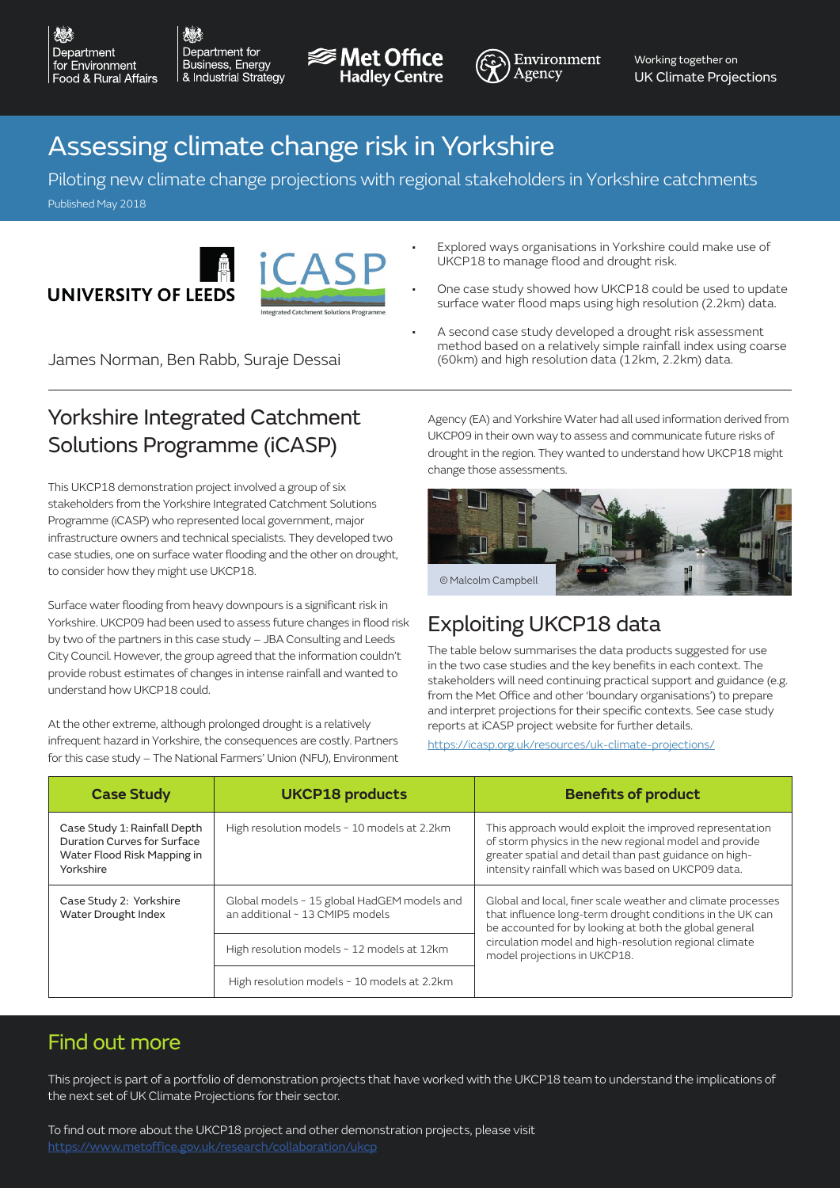Department for Business, Energy & Industrial Strategy

 $\lambda^*$  :





Working together on UK Climate Projections

# Assessing climate change risk in Yorkshire

Piloting new climate change projections with regional stakeholders in Yorkshire catchments Published May 2018

**UNIVERSITY OF LEEDS** 



# Yorkshire Integrated Catchment Solutions Programme (iCASP)

This UKCP18 demonstration project involved a group of six stakeholders from the Yorkshire Integrated Catchment Solutions Programme (iCASP) who represented local government, major infrastructure owners and technical specialists. They developed two case studies, one on surface water flooding and the other on drought, to consider how they might use UKCP18.

Surface water flooding from heavy downpours is a significant risk in Yorkshire. UKCP09 had been used to assess future changes in flood risk by two of the partners in this case study – JBA Consulting and Leeds City Council. However, the group agreed that the information couldn't provide robust estimates of changes in intense rainfall and wanted to understand how UKCP18 could.

At the other extreme, although prolonged drought is a relatively infrequent hazard in Yorkshire, the consequences are costly. Partners for this case study – The National Farmers' Union (NFU), Environment • Explored ways organisations in Yorkshire could make use of UKCP18 to manage flood and drought risk.

- One case study showed how UKCP18 could be used to update surface water flood maps using high resolution (2.2km) data.
- A second case study developed a drought risk assessment method based on a relatively simple rainfall index using coarse James Norman, Ben Rabb, Suraje Dessai (60km) and high resolution data (12km, 2.2km) data.

Agency (EA) and Yorkshire Water had all used information derived from UKCP09 in their own way to assess and communicate future risks of drought in the region. They wanted to understand how UKCP18 might change those assessments.



# Exploiting UKCP18 data

The table below summarises the data products suggested for use in the two case studies and the key benefits in each context. The stakeholders will need continuing practical support and guidance (e.g. from the Met Office and other 'boundary organisations') to prepare and interpret projections for their specific contexts. See case study reports at iCASP project website for further details.

https://icasp.org.uk/resources/uk-climate-projections/

| <b>Case Study</b>                                                                                       | <b>UKCP18 products</b>                                                         | <b>Benefits of product</b>                                                                                                                                                                                                                                                   |
|---------------------------------------------------------------------------------------------------------|--------------------------------------------------------------------------------|------------------------------------------------------------------------------------------------------------------------------------------------------------------------------------------------------------------------------------------------------------------------------|
| Case Study 1: Rainfall Depth<br>Duration Curves for Surface<br>Water Flood Risk Mapping in<br>Yorkshire | High resolution models ~ 10 models at 2.2km                                    | This approach would exploit the improved representation<br>of storm physics in the new regional model and provide<br>greater spatial and detail than past guidance on high-<br>intensity rainfall which was based on UKCP09 data.                                            |
| Case Study 2: Yorkshire<br>Water Drought Index                                                          | Global models ~ 15 global HadGEM models and<br>an additional ~ 13 CMIP5 models | Global and local, finer scale weather and climate processes<br>that influence long-term drought conditions in the UK can<br>be accounted for by looking at both the global general<br>circulation model and high-resolution regional climate<br>model projections in UKCP18. |
|                                                                                                         | High resolution models ~ 12 models at 12km                                     |                                                                                                                                                                                                                                                                              |
|                                                                                                         | High resolution models ~ 10 models at 2.2km                                    |                                                                                                                                                                                                                                                                              |

#### Find out more

This project is part of a portfolio of demonstration projects that have worked with the UKCP18 team to understand the implications of the next set of UK Climate Projections for their sector.

To find out more about the UKCP18 project and other demonstration projects, please visit https://www.metoffice.gov.uk/research/collaboration/ukcp